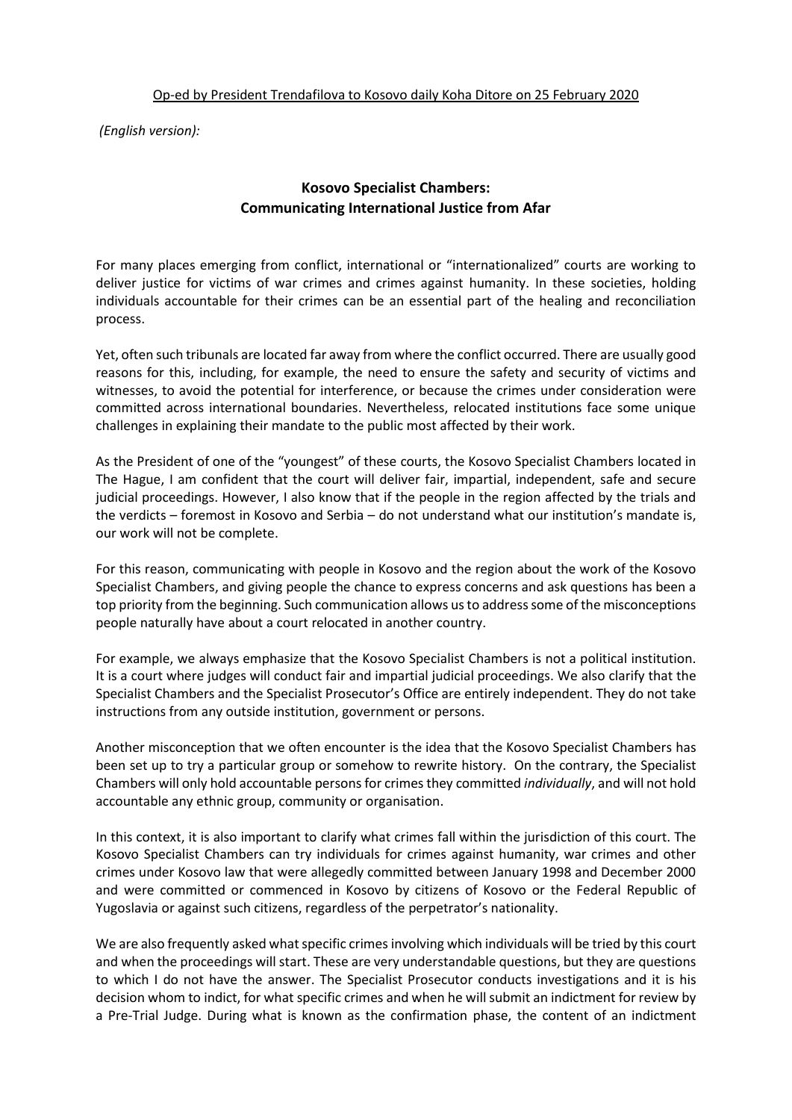*(English version):*

## **Kosovo Specialist Chambers: Communicating International Justice from Afar**

For many places emerging from conflict, international or "internationalized" courts are working to deliver justice for victims of war crimes and crimes against humanity. In these societies, holding individuals accountable for their crimes can be an essential part of the healing and reconciliation process.

Yet, often such tribunals are located far away from where the conflict occurred. There are usually good reasons for this, including, for example, the need to ensure the safety and security of victims and witnesses, to avoid the potential for interference, or because the crimes under consideration were committed across international boundaries. Nevertheless, relocated institutions face some unique challenges in explaining their mandate to the public most affected by their work.

As the President of one of the "youngest" of these courts, the Kosovo Specialist Chambers located in The Hague, I am confident that the court will deliver fair, impartial, independent, safe and secure judicial proceedings. However, I also know that if the people in the region affected by the trials and the verdicts – foremost in Kosovo and Serbia – do not understand what our institution's mandate is, our work will not be complete.

For this reason, communicating with people in Kosovo and the region about the work of the Kosovo Specialist Chambers, and giving people the chance to express concerns and ask questions has been a top priority from the beginning. Such communication allows us to address some of the misconceptions people naturally have about a court relocated in another country.

For example, we always emphasize that the Kosovo Specialist Chambers is not a political institution. It is a court where judges will conduct fair and impartial judicial proceedings. We also clarify that the Specialist Chambers and the Specialist Prosecutor's Office are entirely independent. They do not take instructions from any outside institution, government or persons.

Another misconception that we often encounter is the idea that the Kosovo Specialist Chambers has been set up to try a particular group or somehow to rewrite history. On the contrary, the Specialist Chambers will only hold accountable persons for crimes they committed *individually*, and will not hold accountable any ethnic group, community or organisation.

In this context, it is also important to clarify what crimes fall within the jurisdiction of this court. The Kosovo Specialist Chambers can try individuals for crimes against humanity, war crimes and other crimes under Kosovo law that were allegedly committed between January 1998 and December 2000 and were committed or commenced in Kosovo by citizens of Kosovo or the Federal Republic of Yugoslavia or against such citizens, regardless of the perpetrator's nationality.

We are also frequently asked what specific crimes involving which individuals will be tried by this court and when the proceedings will start. These are very understandable questions, but they are questions to which I do not have the answer. The Specialist Prosecutor conducts investigations and it is his decision whom to indict, for what specific crimes and when he will submit an indictment for review by a Pre-Trial Judge. During what is known as the confirmation phase, the content of an indictment